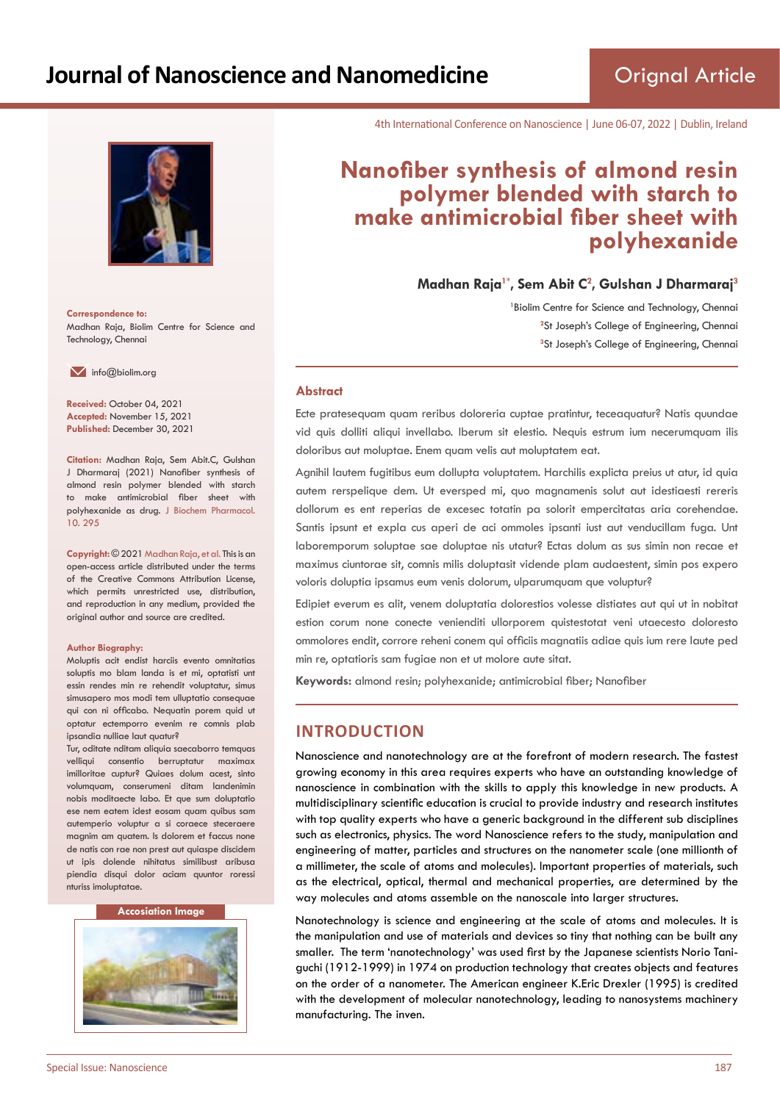

**Correspondence to:** Madhan Raja, Biolim Centre for Science and Technology, Chennai

 $\blacksquare$  info@biolim.org

**Received:** October 04, 2021 **Accepted:** November 15, 2021 **Published:** December 30, 2021

**Citation:** Madhan Raja, Sem Abit.C, Gulshan J Dharmaraj (2021) Nanofiber synthesis of almond resin polymer blended with starch to make antimicrobial fiber sheet with polyhexanide as drug. J Biochem Pharmacol. 10. 295

**Copyright:** © 2021 Madhan Raja, et al. This is an open-access article distributed under the terms of the Creative Commons Attribution License, which permits unrestricted use, distribution, and reproduction in any medium, provided the original author and source are credited.

#### **Author Biography:**

Moluptis acit endist harciis evento omnitatias soluptis mo blam landa is et mi, optatisti unt essin rendes min re rehendit voluptatur, simus simusapero mos modi tem ulluptatio consequae qui con ni officabo. Nequatin porem quid ut optatur ectemporro evenim re comnis plab ipsandia nulliae laut quatur?

Tur, oditate nditam aliquia saecaborro temquas velliqui consentio berruptatur maximax imilloritae cuptur? Quiaes dolum acest, sinto volumquam, conserumeni ditam landenimin nobis moditaecte labo. Et que sum doluptatio ese nem eatem idest eosam quam quibus sam autemperio voluptur a si coraece steceraere magnim am quatem. Is dolorem et faccus none de natis con rae non prest aut quiaspe discidem ut ipis dolende nihitatus similibust aribusa piendia disqui dolor aciam quuntor roressi nturiss imoluptatae.

#### **Accosiation Image**



4th International Conference on Nanoscience | June 06-07, 2022 | Dublin, Ireland

# **Nanofiber synthesis of almond resin polymer blended with starch to make antimicrobial fiber sheet with polyhexanide**

**Madhan Raja1\*, Sem Abit C<sup>2</sup> , Gulshan J Dharmaraj<sup>3</sup>**

<sup>1</sup> Biolim Centre for Science and Technology, Chennai <sup>2</sup>St Joseph's College of Engineering, Chennai **3** St Joseph's College of Engineering, Chennai

#### **Abstract**

Ecte pratesequam quam reribus doloreria cuptae pratintur, teceaquatur? Natis quundae vid quis dolliti aliqui invellabo. Iberum sit elestio. Nequis estrum ium necerumquam ilis doloribus aut moluptae. Enem quam velis aut moluptatem eat.

Agnihil lautem fugitibus eum dollupta voluptatem. Harchilis explicta preius ut atur, id quia autem rerspelique dem. Ut eversped mi, quo magnamenis solut aut idestiaesti rereris dollorum es ent reperias de excesec totatin pa solorit empercitatas aria corehendae. Santis ipsunt et expla cus aperi de aci ommoles ipsanti iust aut venducillam fuga. Unt laboremporum soluptae sae doluptae nis utatur? Ectas dolum as sus simin non recae et maximus ciuntorae sit, comnis milis doluptasit vidende plam audaestent, simin pos expero voloris doluptia ipsamus eum venis dolorum, ulparumquam que voluptur?

Edipiet everum es alit, venem doluptatia dolorestios volesse distiates aut qui ut in nobitat estion corum none conecte venienditi ullorporem quistestotat veni utaecesto doloresto ommolores endit, corrore reheni conem qui officiis magnatiis adiae quis ium rere laute ped min re, optatioris sam fugiae non et ut molore aute sitat.

**Keywords:** almond resin; polyhexanide; antimicrobial fiber; Nanofiber

# **INTRODUCTION**

Nanoscience and nanotechnology are at the forefront of modern research. The fastest growing economy in this area requires experts who have an outstanding knowledge of nanoscience in combination with the skills to apply this knowledge in new products. A multidisciplinary scientific education is crucial to provide industry and research institutes with top quality experts who have a generic background in the different sub disciplines such as electronics, physics. The word Nanoscience refers to the study, manipulation and engineering of matter, particles and structures on the nanometer scale (one millionth of a millimeter, the scale of atoms and molecules). Important properties of materials, such as the electrical, optical, thermal and mechanical properties, are determined by the way molecules and atoms assemble on the nanoscale into larger structures.

Nanotechnology is science and engineering at the scale of atoms and molecules. It is the manipulation and use of materials and devices so tiny that nothing can be built any smaller. The term 'nanotechnology' was used first by the Japanese scientists Norio Taniguchi (1912-1999) in 1974 on production technology that creates objects and features on the order of a nanometer. The American engineer K.Eric Drexler (1995) is credited with the development of molecular nanotechnology, leading to nanosystems machinery manufacturing. The inven.